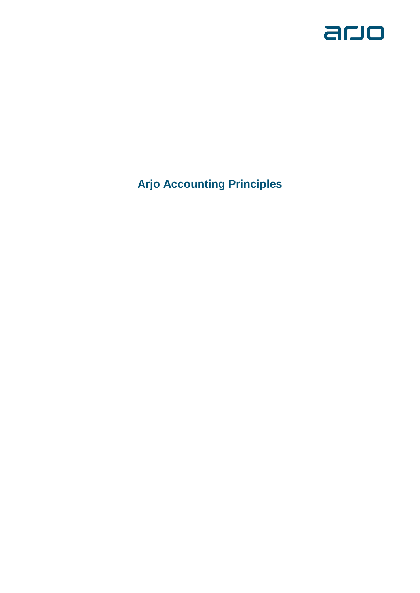

**Arjo Accounting Principles**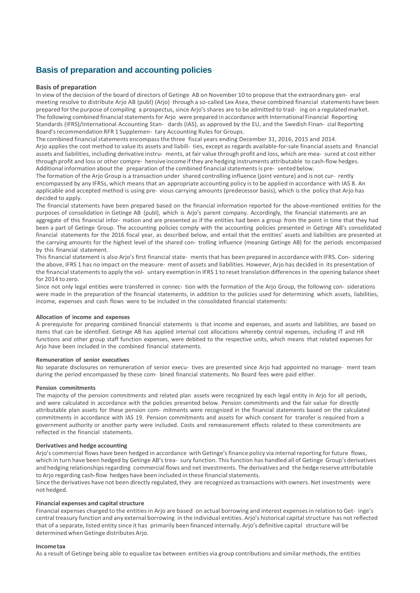# **Basis of preparation and accounting policies**

# **Basis of preparation**

In view of the decision of the board of directors of Getinge AB on November 10 to propose that the extraordinary gen- eral meeting resolve to distribute Arjo AB (publ) (Arjo) through a so-called Lex Asea, these combined financial statements have been prepared forthe purpose of compiling a prospectus, since Arjo's shares are to be admitted to trad- ing on a regulated market. The following combined financial statements for Arjo were prepared in accordance with International Financial Reporting Standards (IFRS)/International Accounting Stan- dards (IAS), as approved by the EU, and the Swedish Finan- cial Reporting Board's recommendation RFR 1 Supplemen- tary Accounting Rules for Groups.

The combined financial statements encompass the three fiscal years ending December 31, 2016, 2015 and 2014. Arjo applies the cost method to value its assets and liabili- ties, except as regards available-for-sale financial assets and financial assets and liabilities, including derivative instru- ments, at fair value through profit and loss, which are mea- sured at cost either through profit and loss or other compre- hensive income ifthey are hedging instruments attributable to cash-flow hedges. Additional information about the preparation of the combined financial statements is pre-sented below.

The formation of the Arjo Group is a transaction under shared controlling influence (joint venture) and is not cur- rently encompassed by any IFRSs, which means that an appropriate accounting policy isto be applied in accordance with IAS 8. An applicable and accepted method is using pre- vious carrying amounts (predecessor basis), which is the policy that Arjo has decided to apply.

The financial statements have been prepared based on the financial information reported for the above-mentioned entities for the purposes of consolidation in Getinge AB (publ), which is Arjo's parent company. Accordingly, the financial statements are an aggregate of this financial infor- mation and are presented as if the entities had been a group from the point in time that they had been a part of Getinge Group. The accounting policies comply with the accounting policies presented in Getinge AB's consolidated financial statements for the 2016 fiscal year, as described below, and entail that the entities' assets and liabilities are presented at the carrying amounts for the highest level of the shared con- trolling influence (meaning Getinge AB) for the periods encompassed by this financial statement.

This financial statement is also Arjo's first financial state- ments that has been prepared in accordance with IFRS. Con- sidering the above, IFRS 1 has no impact on the measure- ment of assets and liabilities. However, Arjo has decided in its presentation of the financial statements to apply the vol- untary exemption in IFRS 1 to reset translation differences in the opening balance sheet for 2014 to zero.

Since not only legal entities were transferred in connec- tion with the formation of the Arjo Group, the following con- siderations were made in the preparation of the financial statements, in addition to the policies used for determining which assets, liabilities, income, expenses and cash flows were to be included in the consolidated financial statements:

#### **Allocation of income and expenses**

A prerequisite for preparing combined financial statements is that income and expenses, and assets and liabilities, are based on items that can be identified. Getinge AB has applied internal cost allocations whereby central expenses, including IT and HR functions and other group staff function expenses, were debited to the respective units, which means that related expenses for Ario have been included in the combined financial statements.

#### **Remuneration of senior executives**

No separate disclosures on remuneration of senior execu- tives are presented since Arjo had appointed no manage- ment team during the period encompassed by these com- bined financial statements. No Board fees were paid either.

# **Pension commitments**

The majority of the pension commitments and related plan assets were recognized by each legal entity in Arjo for all periods, and were calculated in accordance with the policies presented below. Pension commitments and the fair value for directly attributable plan assets for these pension com- mitments were recognized in the financial statements based on the calculated commitments in accordance with IAS 19. Pension commitments and assets for which consent for transfer is required from a government authority or another party were included. Costs and remeasurement effects related to these commitments are reflected in the financial statements.

# **Derivatives and hedge accounting**

Arjo's commercial flows have been hedged in accordance with Getinge's finance policy via internal reporting for future flows, which in turn have been hedged by Getinge AB'strea- sury function. This function has handled all of Getinge Group's derivatives and hedging relationshipsregarding commercial flows and net investments. The derivatives and the hedge reserve attributable to Arjo regarding cash-flow hedges have been included in these financial statements.

Since the derivatives have not been directly regulated, they are recognized as transactions with owners. Net investments were not hedged.

# **Financial expenses and capital structure**

Financial expenses charged to the entities in Arjo are based on actual borrowing and interest expensesin relation to Get- inge's central treasury function and any external borrowing in the individual entities. Arjo's historical capital structure has not reflected that of a separate, listed entity since it has primarily been financed internally. Arjo's definitive capital structure will be determined when Getinge distributes Arjo.

#### **Incometax**

As a result of Getinge being able to equalize tax between entities via group contributions and similar methods, the entities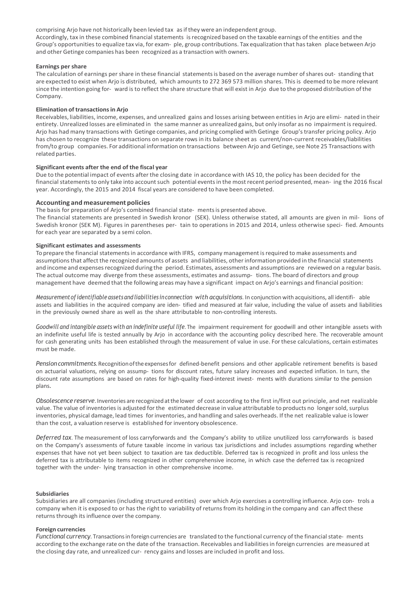comprising Arjo have not historically been levied tax asifthey were an independent group.

Accordingly, tax in these combined financial statements isrecognized based on the taxable earnings of the entities and the Group's opportunitiesto equalize tax via, for exam- ple, group contributions. Tax equalization that has taken place between Arjo and other Getinge companies has been recognized as a transaction with owners.

# **Earnings per share**

The calculation of earnings per share in these financial statementsis based on the average number ofshares out- standing that are expected to exist when Arjo is distributed, which amounts to 272 369 573 million shares. This is deemed to be more relevant since the intention going for- ward is to reflect the share structure that will exist in Arjo due to the proposed distribution of the Company.

# **Elimination of transactionsin Arjo**

Receivables, liabilities, income, expenses, and unrealized gains and losses arising between entities in Arjo are elimi- nated in their entirety. Unrealized losses are eliminated in the same manner as unrealized gains, but only insofar as no impairment isrequired. Arjo has had many transactions with Getinge companies, and pricing complied with Getinge Group'stransfer pricing policy. Arjo has chosen to recognize these transactions on separate rowsin its balance sheet as current/non-current receivables/liabilities from/to group companies. For additional information on transactions between Arjo and Getinge, see Note 25 Transactions with related parties.

# **Significant events after the end of the fiscal year**

Due to the potential impact of events after the closing date in accordance with IAS 10, the policy has been decided for the financial statements to only take into account such potential events in the most recent period presented, mean- ing the 2016 fiscal year. Accordingly, the 2015 and 2014 fiscal years are considered to have been completed.

# **Accounting and measurement policies**

The basis for preparation of Arjo's combined financial state- mentsis presented above.

The financial statements are presented in Swedish kronor (SEK). Unless otherwise stated, all amounts are given in mil- lions of Swedish kronor (SEK M). Figures in parentheses per- tain to operations in 2015 and 2014, unless otherwise speci- fied. Amounts for each year are separated by a semi colon.

# **Significant estimates and assessments**

To prepare the financial statements in accordance with IFRS, company management is required to make assessments and assumptions that affect the recognized amounts of assets and liabilities, other information provided in the financial statements and income and expenses recognized during the period. Estimates, assessments and assumptions are reviewed on a regular basis. The actual outcome may diverge from these assessments, estimates and assump- tions. The board of directors and group management have deemed that the following areas may have a significant impact on Arjo's earnings and financial position:

*Measurementof identifiable assets and liabilities inconnection with acquisitions*. In conjunction with acquisitions, all identifi- able assets and liabilities in the acquired company are iden- tified and measured at fair value, including the value of assets and liabilities in the previously owned share as well as the share attributable to non-controlling interests.

*Goodwill and intangible assets with an indefinite useful life*. The impairment requirement for goodwill and other intangible assets with an indefinite useful life is tested annually by Arjo in accordance with the accounting policy described here. The recoverable amount for cash generating units has been established through the measurement of value in use. Forthese calculations, certain estimates must be made.

*Pensioncommitments*.Recognitionoftheexpensesfor defined-benefit pensions and other applicable retirement benefits is based on actuarial valuations, relying on assump- tions for discount rates, future salary increases and expected inflation. In turn, the discount rate assumptions are based on rates for high-quality fixed-interest invest- ments with durations similar to the pension plans.

*Obsolescencereserve*. Inventories are recognizedatthe lower of cost according to the first in/first out principle, and net realizable value. The value of inventories is adjusted for the estimated decrease in value attributable to products no longersold, surplus inventories, physical damage, lead times forinventories, and handling and sales overheads. If the net realizable value islower than the cost, a valuation reserve is established for inventory obsolescence.

*Deferred tax*. The measurement of loss carryforwards and the Company's ability to utilize unutilized loss carryforwards is based on the Company's assessments of future taxable income in various tax jurisdictions and includes assumptions regarding whether expenses that have not yet been subject to taxation are tax deductible. Deferred tax is recognized in profit and loss unless the deferred tax is attributable to items recognized in other comprehensive income, in which case the deferred tax is recognized together with the under- lying transaction in other comprehensive income.

#### **Subsidiaries**

Subsidiaries are all companies (including structured entities) over which Arjo exercises a controlling influence. Arjo con- trols a company when it is exposed to or has the right to variability of returns from its holding in the company and can affect these returns through its influence over the company.

#### **Foreign currencies**

*Functional currency*. Transactionsin foreign currencies are translated to the functional currency of the financialstate- ments according to the exchange rate on the date of the transaction. Receivables and liabilitiesin foreign currencies are measured at the closing day rate, and unrealized cur- rency gains and losses are included in profit and loss.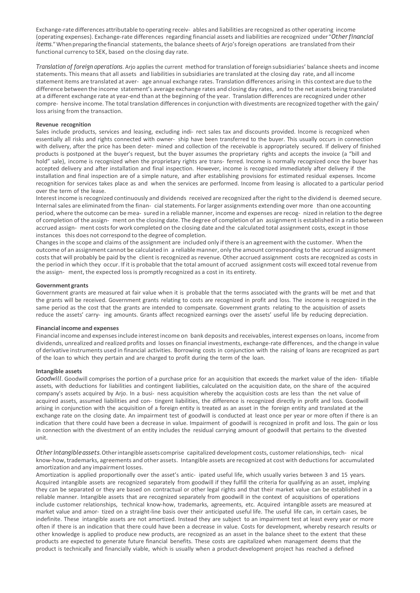Exchange-rate differences attributable to operating receiv- ables and liabilities are recognized as other operating income (operating expenses). Exchange-rate differences regarding financial assets and liabilities are recognized under "*Other financial items*." When preparing the financial statements, the balance sheets of Arjo's foreign operations are translated from their functional currency to SEK, based on the closing day rate.

*Translation of foreign operations*. Arjo applies the current method fortranslation of foreign subsidiaries' balance sheets and income statements. This means that all assets and liabilities in subsidiaries are translated at the closing day rate, and all income statement items are translated at aver- age annual exchange rates. Translation differences arising in this context are due to the difference between the income statement's average exchange rates and closing day rates, and to the net assets being translated at a different exchange rate at year-end than at the beginning of the year. Translation differences are recognized under other compre- hensive income. The total translation differences in conjunction with divestments are recognized together with the gain/ loss arising from the transaction.

# **Revenue recognition**

Sales include products, services and leasing, excluding indi- rect sales tax and discounts provided. Income is recognized when essentially all risks and rights connected with owner- ship have been transferred to the buyer. This usually occurs in connection with delivery, after the price has been deter- mined and collection of the receivable is appropriately secured. If delivery of finished products is postponed at the buyer's request, but the buyer assumes the proprietary rights and accepts the invoice (a "bill and hold" sale), income is recognized when the proprietary rights are trans- ferred. Income is normally recognized once the buyer has accepted delivery and after installation and final inspection. However, income is recognized immediately after delivery if the installation and final inspection are of a simple nature, and after establishing provisions for estimated residual expenses. Income recognition for services takes place as and when the services are performed. Income from leasing is allocated to a particular period over the term of the lease.

Interest income is recognized continuously and dividends received are recognized after the right to the dividend is deemed secure. Internalsales are eliminated from the finan- cial statements. Forlarger assignments extending over more than one accounting period, where the outcome can be mea- sured in a reliable manner, income and expenses are recog- nized in relation to the degree of completion of the assign- ment on the closing date. The degree of completion of an assignment is established in a ratio between accrued assign- ment costs for work completed on the closing date and the calculated total assignment costs, except in those instances this does not correspond to the degree of completion.

Changesin the scope and claims of the assignment are included only if there is an agreement with the customer. When the outcome of an assignment cannot be calculated in a reliablemanner, only the amount corresponding to the accrued assignment costs that will probably be paid by the client is recognized as revenue. Other accrued assignment costs are recognized as costs in the period in which they occur. If it is probable that the total amount of accrued assignment costs will exceed total revenue from the assign- ment, the expected loss is promptly recognized as a cost in its entirety.

# **Government grants**

Government grants are measured at fair value when it is probable that the terms associated with the grants will be met and that the grants will be received. Government grants relating to costs are recognized in profit and loss. The income is recognized in the same period as the cost that the grants are intended to compensate. Government grants relating to the acquisition of assets reduce the assets' carry- ing amounts. Grants affect recognized earnings over the assets' useful life by reducing depreciation.

#### **Financial income and expenses**

Financial income and expensesinclude interestincome on bank deposits and receivables, interest expenses on loans, income from dividends, unrealized and realized profits and losses on financial investments, exchange-rate differences, and the change in value of derivative instruments used in financial activities. Borrowing costs in conjunction with the raising of loans are recognized as part of the loan to which they pertain and are charged to profit during the term of the loan.

#### **Intangible assets**

*Goodwill*. Goodwill comprises the portion of a purchase price for an acquisition that exceeds the market value of the iden- tifiable assets, with deductions for liabilities and contingent liabilities, calculated on the acquisition date, on the share of the acquired company's assets acquired by Arjo. In a busi- ness acquisition whereby the acquisition costs are less than the net value of acquired assets, assumed liabilities and con- tingent liabilities, the difference is recognized directly in profit and loss. Goodwill arising in conjunction with the acquisition of a foreign entity is treated as an asset in the foreign entity and translated at the exchange rate on the closing date. An impairment test of goodwill is conducted at least once per year or more often if there is an indication that there could have been a decrease in value. Impairment of goodwill is recognized in profit and loss. The gain or loss in connection with the divestment of an entity includes the residual carrying amount of goodwill that pertains to the divested unit.

*Other intangibleassets*.Otherintangibleassets comprise capitalized development costs, customer relationships, tech- nical know-how,trademarks, agreements and other assets. Intangible assets are recognized at cost with deductions for accumulated amortization and any impairment losses.

Amortization is applied proportionally over the asset's antic- ipated useful life, which usually varies between 3 and 15 years. Acquired intangible assets are recognized separately from goodwill if they fulfill the criteria for qualifying as an asset, implying they can be separated or they are based on contractual or other legal rights and that their market value can be established in a reliable manner. Intangible assets that are recognized separately from goodwill in the context of acquisitions of operations include customer relationships, technical know-how, trademarks, agreements, etc. Acquired intangible assets are measured at market value and amor- tized on a straight-line basis over their anticipated useful life. The useful life can, in certain cases, be indefinite. These intangible assets are not amortized. Instead they are subject to an impairment test at least every year or more often if there is an indication that there could have been a decrease in value. Costs for development, whereby research results or other knowledge is applied to produce new products, are recognized as an asset in the balance sheet to the extent that these products are expected to generate future financial benefits. These costs are capitalized when management deems that the product is technically and financially viable, which is usually when a product-development project has reached a defined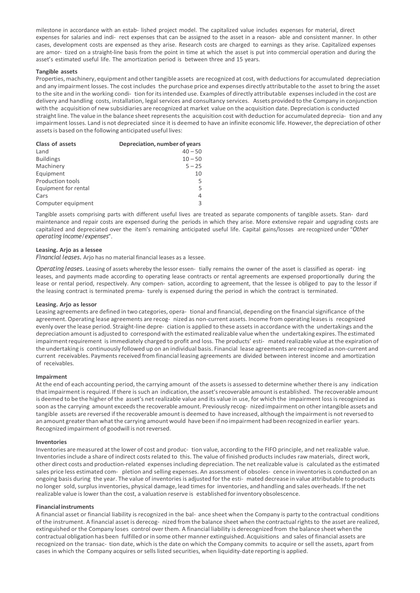milestone in accordance with an estab- lished project model. The capitalized value includes expenses for material, direct expenses for salaries and indi- rect expenses that can be assigned to the asset in a reason- able and consistent manner. In other cases, development costs are expensed as they arise. Research costs are charged to earnings as they arise. Capitalized expenses are amor- tized on a straight-line basis from the point in time at which the asset is put into commercial operation and during the asset's estimated useful life. The amortization period is between three and 15 years.

#### **Tangible assets**

Properties,machinery, equipment and othertangible assets are recognized at cost, with deductions for accumulated depreciation and any impairment losses. The cost includes the purchase price and expenses directly attributable to the asset to bring the asset to the site and in the working condi- tion for its intended use. Examples of directly attributable expenses included in the cost are delivery and handling costs, installation, legal services and consultancy services. Assets provided to the Company in conjunction with the acquisition of new subsidiaries are recognized at market value on the acquisition date. Depreciation is conducted straight line. The value in the balance sheet represents the acquisition cost with deduction for accumulated deprecia- tion and any impairment losses. Land is not depreciated since it is deemed to have an infinite economic life. However, the depreciation of other assets is based on the following anticipated useful lives:

| Depreciation, number of years |
|-------------------------------|
| $40 - 50$                     |
| $10 - 50$                     |
| $5 - 25$                      |
| 10                            |
| 5                             |
| 5                             |
| 4                             |
| 3                             |
|                               |

Tangible assets comprising parts with different useful lives are treated as separate components of tangible assets. Stan- dard maintenance and repair costs are expensed during the periods in which they arise. More extensive repair and upgrading costs are capitalized and depreciated over the item's remaining anticipated useful life. Capital gains/losses are recognized under "*Other operating income/expenses*".

# **Leasing. Arjo as a lessee**

*Financial leases.* Arjo has no material financial leases as a lessee.

*Operating leases.* Leasing of assets whereby the lessor essen- tially remains the owner of the asset is classified as operat- ing leases, and payments made according to operating lease contracts or rental agreements are expensed proportionally during the lease or rental period, respectively. Any compen- sation, according to agreement, that the lessee is obliged to pay to the lessor if the leasing contract is terminated prema- turely is expensed during the period in which the contract is terminated.

#### **Leasing. Arjo as lessor**

Leasing agreements are defined in two categories, opera- tional and financial, depending on the financialsignificance of the agreement. Operating lease agreements are recog- nized as non-current assets. Income from operating leases is recognized evenly overthe lease period. Straight-line depre- ciation is applied to these assets in accordance with the undertakings and the depreciation amountis adjusted to correspond with the estimated realizable value when the undertaking expires. The estimated impairment requirement is immediately charged to profit and loss. The products' esti- mated realizable value at the expiration of the undertaking is continuously followed up on an individual basis. Financial lease agreements are recognized as non-current and current receivables. Payments received from financial leasing agreements are divided between interest income and amortization of receivables.

#### **Impairment**

At the end of each accounting period, the carrying amount of the assets is assessed to determine whether there is any indication that impairment isrequired. If there issuch an indication, the asset'srecoverable amount is established. The recoverable amount is deemed to be the higher of the asset's net realizable value and its value in use, for which the impairment loss is recognized as soon as the carrying amount exceedsthe recoverable amount. Previously recog- nized impairment on other intangible assets and tangible assets are reversed if the recoverable amount is deemed to have increased, although the impairment is notreversed to an amount greaterthan whatthe carrying amount would have been if no impairment had been recognized in earlier years. Recognized impairment of goodwill is not reversed.

#### **Inventories**

Inventories are measured at the lower of cost and produc- tion value, according to the FIFO principle, and net realizable value. Inventoriesinclude a share of indirect costsrelated to this. The value of finished products includes raw materials, direct work, other direct costs and production-related expensesincluding depreciation. The net realizable value is calculated as the estimated sales price less estimated com- pletion and selling expenses. An assessment of obsoles- cence in inventories is conducted on an ongoing basis during the year. The value of inventoriesis adjusted for the esti- mated decrease in value attributable to products no longer sold, surplus inventories, physical damage, lead times for inventories, and handling and sales overheads. Ifthe net realizable value islower than the cost, a valuation reserve is established forinventory obsolescence.

#### **Financial instruments**

A financial asset or financial liability is recognized in the bal- ance sheet when the Company is party to the contractual conditions of the instrument. A financial asset is derecog- nized from the balance sheet when the contractualrightsto the asset are realized, extinguished or the Company loses control over them. A financial liability is derecognized from the balance sheet when the contractual obligation has been fulfilled orin some other manner extinguished. Acquisitions and sales of financial assets are recognized on the transac- tion date, which isthe date on which the Company commits to acquire or sell the assets, apart from cases in which the Company acquires or sells listed securities, when liquidity-date reporting is applied.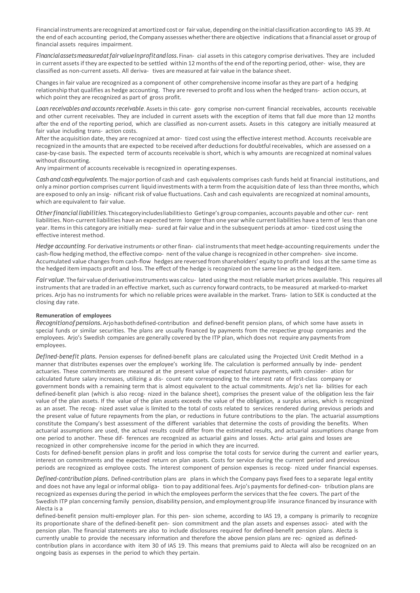Financial instruments are recognized at amortized cost or fair value, depending on the initial classification according to IAS 39. At the end of each accounting period, the Company assesses whether there are objective indications that a financial asset or group of financial assets requires impairment.

*Financialassetsmeasuredatfairvalueinprofitandloss.*Finan- cial assets in this category comprise derivatives. They are included in current assets if they are expected to be settled within 12 months of the end ofthe reporting period, other- wise, they are classified as non-current assets. All deriva- tives are measured at fair value in the balance sheet.

Changesin fair value are recognized as a component of other comprehensive income insofar asthey are part of a hedging relationship that qualifies as hedge accounting. They are reversed to profit and loss when the hedged trans- action occurs, at which point they are recognized as part of gross profit.

*Loan receivables and accounts receivable*. Assets in this cate- gory comprise non-current financial receivables, accounts receivable and other current receivables. They are included in current assets with the exception of items that fall due more than 12 months after the end of the reporting period, which are classified as non-current assets. Assets in this category are initially measured at fair value including trans- action costs.

After the acquisition date, they are recognized at amor- tized cost using the effective interest method. Accounts receivable are recognized in the amounts that are expected to be received after deductions for doubtful receivables, which are assessed on a case-by-case basis. The expected term of accounts receivable is short, which is why amounts are recognized at nominal values without discounting.

Any impairment of accounts receivable is recognized in operating expenses.

*Cash and cash equivalents*. Themajor portion of cash and cash equivalents comprises cash funds held at financial institutions, and only a minor portion comprises current liquid investments with a term from the acquisition date of lessthan three months, which are exposed to only an insig- nificant risk of value fluctuations. Cash and cash equivalents are recognized at nominal amounts, which are equivalent to fair value.

*Otherfinancialliabilities*.Thiscategoryincludesliabilitiesto Getinge's group companies, accounts payable and other cur- rent liabilities. Non-current liabilities have an expected term longerthan one year while currentliabilities have a term of lessthan one year. Items in this category are initially mea- sured at fair value and in the subsequent periods at amor- tized cost using the effective interest method.

*Hedge accounting*. For derivative instruments or other finan- cial instrumentsthat meet hedge-accounting requirements underthe cash-flow hedging method, the effective compo- nent of the value change isrecognized in other comprehen- sive income. Accumulated value changes from cash-flow hedges are reversed from shareholders' equity to profit and loss at the same time as the hedged item impacts profit and loss. The effect of the hedge is recognized on the same line asthe hedged item.

Fair value. The fair value of derivative instruments was calcu-lated using the most reliable market prices available. This requires all instruments that are traded in an effective market, such as currency forward contracts, to be measured at marked-to-market prices. Arjo has no instruments for which no reliable prices were available in the market. Trans- lation to SEK is conducted at the closing day rate.

# **Remuneration of employees**

*Recognitionofpensions.*Arjohasbothdefined-contribution and defined-benefit pension plans, of which some have assets in special funds or similar securities. The plans are usually financed by payments from the respective group companies and the employees. Arjo's Swedish companies are generally covered by the ITP plan, which does not require any payments from employees.

*Defined-benefit plans.* Pension expenses for defined-benefit plans are calculated using the Projected Unit Credit Method in a manner that distributes expenses over the employee's working life. The calculation is performed annually by inde- pendent actuaries. These commitments are measured at the present value of expected future payments, with consider- ation for calculated future salary increases, utilizing a dis- count rate corresponding to the interest rate of first-class company or government bonds with a remaining term that is almost equivalent to the actual commitments. Arjo's net lia- bilities for each defined-benefit plan (which is also recog- nized in the balance sheet), comprises the present value of the obligation less the fair value of the plan assets. If the value of the plan assets exceeds the value of the obligation, a surplus arises, which is recognized as an asset. The recog- nized asset value is limited to the total of costs related to services rendered during previous periods and the present value of future repayments from the plan, or reductions in future contributions to the plan. The actuarial assumptions constitute the Company's best assessment of the different variables that determine the costs of providing the benefits. When actuarial assumptions are used, the actual results could differ from the estimated results, and actuarial assumptions change from one period to another. These dif- ferences are recognized as actuarial gains and losses. Actu- arial gains and losses are recognized in other comprehensive income for the period in which they are incurred.

Costs for defined-benefit pension plans in profit and loss comprise the total costs for service during the current and earlier years, interest on commitments and the expected return on plan assets. Costs for service during the current period and previous periods are recognized as employee costs. The interest component of pension expenses is recog- nized under financial expenses.

*Defined-contribution plans.* Defined-contribution plans are plans in which the Company pays fixed fees to a separate legal entity and does not have any legal or informal obliga- tion to pay additional fees. Arjo's payments for defined-con- tribution plans are recognized as expenses during the period in which the employees perform the servicesthat the fee covers. The part of the Swedish ITP plan concerning family pension, disability pension, and employment group life insurance financed by insurance with Alecta is a

defined-benefit pension multi-employer plan. For this pen- sion scheme, according to IAS 19, a company is primarily to recognize its proportionate share of the defined-benefit pen- sion commitment and the plan assets and expenses associ- ated with the pension plan. The financial statements are also to include disclosures required for defined-benefit pension plans. Alecta is currently unable to provide the necessary information and therefore the above pension plans are rec- ognized as definedcontribution plans in accordance with item 30 of IAS 19. This means that premiums paid to Alecta will also be recognized on an ongoing basis as expenses in the period to which they pertain.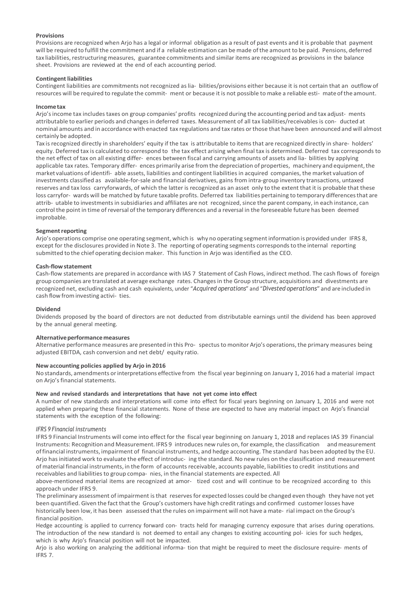# **Provisions**

Provisions are recognized when Arjo has a legal or informal obligation as a result of past events and it is probable that payment will be required to fulfill the commitment and if a reliable estimation can be made ofthe amount to be paid. Pensions, deferred tax liabilities, restructuring measures, guarantee commitments and similar items are recognized as provisions in the balance sheet. Provisions are reviewed at the end of each accounting period.

# **Contingent liabilities**

Contingent liabilities are commitments not recognized aslia- bilities/provisions either because it is not certain that an outflow of resources will be required to regulate the commit- ment or because it is not possible to make a reliable esti- mateofthe amount.

#### **Incometax**

Arjo'sincome tax includes taxes on group companies' profits recognized during the accounting period and tax adjust- ments attributable to earlier periods and changesin deferred taxes. Measurement of all tax liabilities/receivables is con- ducted at nominal amounts and in accordance with enacted tax regulations and tax rates orthose that have been announced and will almost certainly be adopted.

Tax is recognized directly in shareholders' equity if the tax is attributable to items that are recognized directly in share- holders' equity. Deferred tax is calculated to correspond to the tax effect arising when final tax is determined. Deferred tax corresponds to the net effect of tax on all existing differ- ences between fiscal and carrying amounts of assets and lia- bilities by applying applicable tax rates. Temporary differ-ences primarily arise from the depreciation of properties, machinery and equipment, the market valuations ofidentifi- able assets, liabilities and contingent liabilities in acquired companies, the market valuation of investments classified as available-for-sale and financial derivatives, gains from intra-group inventory transactions, untaxed reserves and tax loss carryforwards, of which the latter is recognized as an asset only to the extent that it is probable that these loss carryfor- wards will be matched by future taxable profits. Deferred tax liabilities pertaining to temporary differencesthat are attrib- utable to investments in subsidiaries and affiliates are not recognized, since the parent company, in each instance, can control the point in time of reversal of the temporary differences and a reversal in the foreseeable future has been deemed improbable.

# **Segment reporting**

Arjo's operations comprise one operating segment, which is why no operating segment information is provided under IFRS 8, except for the disclosures provided in Note 3. The reporting of operating segments corresponds to the internal reporting submitted to the chief operating decision maker. This function in Arjo was identified as the CEO.

# **Cash-flowstatement**

Cash-flow statements are prepared in accordance with IAS 7 Statement of Cash Flows, indirect method. The cash flows of foreign group companies are translated at average exchange rates. Changesin the Group structure, acquisitions and divestments are recognized net, excluding cash and cash equivalents, under "*Acquired operations*" and "*Divested operations*" and are included in cash flow frominvesting activi- ties.

#### **Dividend**

Dividends proposed by the board of directors are not deducted from distributable earnings until the dividend has been approved by the annual general meeting.

#### **Alternativeperformancemeasures**

Alternative performance measures are presented in this Pro- spectusto monitor Arjo's operations, the primary measures being adjusted EBITDA, cash conversion and net debt/ equity ratio.

# **New accounting policies applied by Arjo in 2016**

No standards, amendments orinterpretations effective from the fiscal year beginning on January 1, 2016 had a material impact on Arjo's financial statements.

#### **New and revised standards and interpretations that have not yet come into effect**

A number of new standards and interpretations will come into effect for fiscal years beginning on January 1, 2016 and were not applied when preparing these financial statements. None of these are expected to have any material impact on Arjo's financial statements with the exception of the following:

# *IFRS 9 Financial instruments*

IFRS 9 Financial Instruments will come into effect for the fiscal year beginning on January 1, 2018 and replaces IAS 39 Financial Instruments: Recognition and Measurement. IFRS 9 introduces new rules on, for example, the classification andmeasurement offinancial instruments, impairment of financial instruments, and hedge accounting. The standard has been adopted by the EU. Arjo hasinitiated work to evaluate the effect of introduc- ing the standard. No new rules on the classification and measurement of material financial instruments, in the form of accounts receivable, accounts payable, liabilities to credit institutions and receivables and liabilities to group compa- nies, in the financial statements are expected. All

above-mentioned material items are recognized at amor- tized cost and will continue to be recognized according to this approach under IFRS 9.

The preliminary assessment of impairment isthat reservesfor expected losses could be changed even though they have not yet been quantified. Given the fact that the Group's customers have high credit ratings and confirmed customer losses have historically been low, it has been assessed that the rules on impairment will not have a mate- rial impact on the Group's financial position.

Hedge accounting is applied to currency forward con- tracts held for managing currency exposure that arises during operations. The introduction of the new standard is not deemed to entail any changes to existing accounting pol- icies for such hedges, which is why Arjo's financial position will not be impacted.

Arjo is also working on analyzing the additional informa- tion that might be required to meet the disclosure require- ments of IFRS 7.